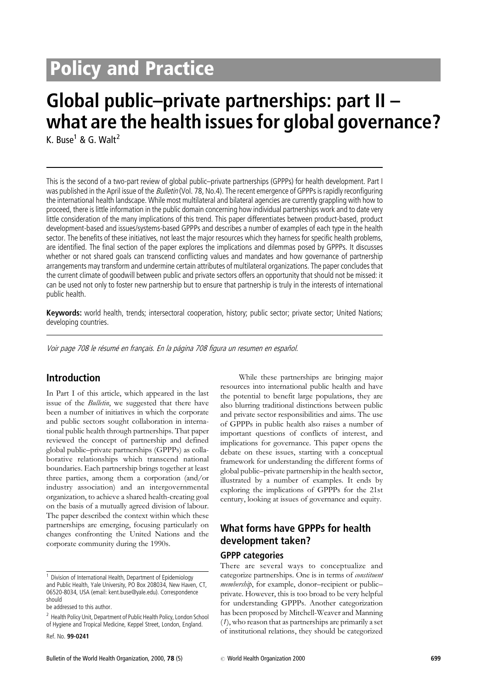# **Policy and Practice**

# Global public-private partnerships: part  $II$ what are the health issues for global governance?

K. Buse<sup>1</sup> & G. Walt<sup>2</sup>

This is the second of a two-part review of global public-private partnerships (GPPPs) for health development. Part I was published in the April issue of the *Bulletin* (Vol. 78, No.4). The recent emergence of GPPPs is rapidly reconfiguring the international health landscape. While most multilateral and bilateral agencies are currently grappling with how to proceed, there is little information in the public domain concerning how individual partnerships work and to date very little consideration of the many implications of this trend. This paper differentiates between product-based, product development-based and issues/systems-based GPPPs and describes a number of examples of each type in the health sector. The benefits of these initiatives, not least the major resources which they harness for specific health problems, are identified. The final section of the paper explores the implications and dilemmas posed by GPPPs. It discusses whether or not shared goals can transcend conflicting values and mandates and how governance of partnership arrangements may transform and undermine certain attributes of multilateral organizations. The paper concludes that the current climate of goodwill between public and private sectors offers an opportunity that should not be missed: it can be used not only to foster new partnership but to ensure that partnership is truly in the interests of international public health.

Keywords: world health, trends; intersectoral cooperation, history; public sector; private sector; United Nations; developing countries.

Voir page 708 le résumé en français. En la página 708 figura un resumen en español.

## **Introduction**

In Part I of this article, which appeared in the last issue of the *Bulletin*, we suggested that there have been a number of initiatives in which the corporate and public sectors sought collaboration in international public health through partnerships. That paper reviewed the concept of partnership and defined global public-private partnerships (GPPPs) as collaborative relationships which transcend national boundaries. Each partnership brings together at least three parties, among them a corporation (and/or industry association) and an intergovernmental organization, to achieve a shared health-creating goal on the basis of a mutually agreed division of labour. The paper described the context within which these partnerships are emerging, focusing particularly on changes confronting the United Nations and the corporate community during the 1990s.

be addressed to this author.

important questions of conflicts of interest, and implications for governance. This paper opens the debate on these issues, starting with a conceptual framework for understanding the different forms of global public-private partnership in the health sector, illustrated by a number of examples. It ends by exploring the implications of GPPPs for the 21st century, looking at issues of governance and equity. What forms have GPPPs for health development taken?

#### **GPPP categories**

There are several ways to conceptualize and categorize partnerships. One is in terms of *constituent* membership, for example, donor-recipient or publicprivate. However, this is too broad to be very helpful for understanding GPPPs. Another categorization has been proposed by Mitchell-Weaver and Manning  $(1)$ , who reason that as partnerships are primarily a set of institutional relations, they should be categorized

While these partnerships are bringing major resources into international public health and have

the potential to benefit large populations, they are

also blurring traditional distinctions between public

and private sector responsibilities and aims. The use

of GPPPs in public health also raises a number of

<sup>&</sup>lt;sup>1</sup> Division of International Health, Department of Epidemiology and Public Health, Yale University, PO Box 208034, New Haven, CT, 06520-8034, USA (email: kent.buse@yale.edu). Correspondence should

<sup>&</sup>lt;sup>2</sup> Health Policy Unit, Department of Public Health Policy, London School of Hygiene and Tropical Medicine, Keppel Street, London, England.

Ref. No. 99-0241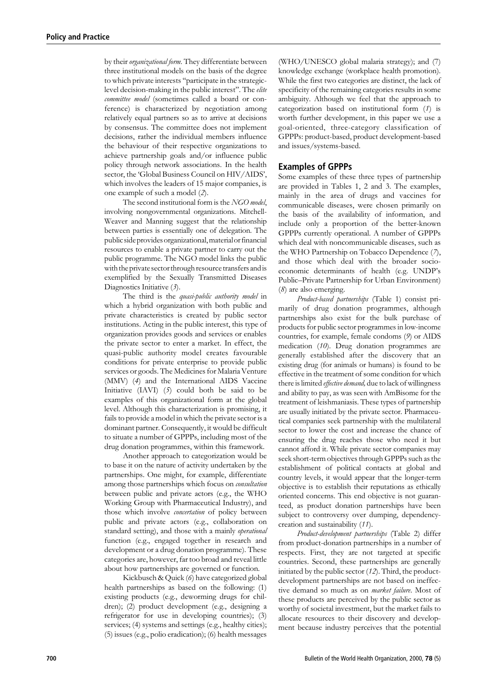by their *organizational form*. They differentiate between three institutional models on the basis of the degree to which private interests "participate in the strategiclevel decision-making in the public interest". The elite committee model (sometimes called a board or conference) is characterized by negotiation among relatively equal partners so as to arrive at decisions by consensus. The committee does not implement decisions, rather the individual members influence the behaviour of their respective organizations to achieve partnership goals and/or influence public policy through network associations. In the health sector, the 'Global Business Council on HIV/AIDS', which involves the leaders of 15 major companies, is one example of such a model (2).

The second institutional form is the NGO model, involving nongovernmental organizations. Mitchell-Weaver and Manning suggest that the relationship between parties is essentially one of delegation. The public side provides organizational, material or financial resources to enable a private partner to carry out the public programme. The NGO model links the public with the private sector through resource transfers and is exemplified by the Sexually Transmitted Diseases Diagnostics Initiative  $(3)$ .

The third is the *quasi-public authority model* in which a hybrid organization with both public and private characteristics is created by public sector institutions. Acting in the public interest, this type of organization provides goods and services or enables the private sector to enter a market. In effect, the quasi-public authority model creates favourable conditions for private enterprise to provide public services or goods. The Medicines for Malaria Venture (MMV) (4) and the International AIDS Vaccine Initiative (IAVI) (5) could both be said to be examples of this organizational form at the global level. Although this characterization is promising, it fails to provide a model in which the private sector is a dominant partner. Consequently, it would be difficult to situate a number of GPPPs, including most of the drug donation programmes, within this framework.

Another approach to categorization would be to base it on the nature of activity undertaken by the partnerships. One might, for example, differentiate among those partnerships which focus on *consultation* between public and private actors (e.g., the WHO Working Group with Pharmaceutical Industry), and those which involve *concertation* of policy between public and private actors (e.g., collaboration on standard setting), and those with a mainly operational function (e.g., engaged together in research and development or a drug donation programme). These categories are, however, far too broad and reveal little about how partnerships are governed or function.

Kickbusch & Quick (6) have categorized global health partnerships as based on the following: (1) existing products (e.g., deworming drugs for children); (2) product development (e.g., designing a refrigerator for use in developing countries); (3) services; (4) systems and settings (e.g., healthy cities);  $(5)$  issues (e.g., polio eradication); (6) health messages

(WHO/UNESCO global malaria strategy); and (7) knowledge exchange (workplace health promotion). While the first two categories are distinct, the lack of specificity of the remaining categories results in some ambiguity. Although we feel that the approach to categorization based on institutional form (1) is worth further development, in this paper we use a goal-oriented, three-category classification of GPPPs: product-based, product development-based and issues/systems-based.

#### **Examples of GPPPs**

Some examples of these three types of partnership are provided in Tables 1, 2 and 3. The examples, mainly in the area of drugs and vaccines for communicable diseases, were chosen primarily on the basis of the availability of information, and include only a proportion of the better-known GPPPs currently operational. A number of GPPPs which deal with noncommunicable diseases, such as the WHO Partnership on Tobacco Dependence (7), and those which deal with the broader socioeconomic determinants of health (e.g. UNDP's Public-Private Partnership for Urban Environment)  $(8)$  are also emerging.

Product-based partnerships (Table 1) consist primarily of drug donation programmes, although partnerships also exist for the bulk purchase of products for public sector programmes in low-income countries, for example, female condoms (9) or AIDS medication  $(10)$ . Drug donation programmes are generally established after the discovery that an existing drug (for animals or humans) is found to be effective in the treatment of some condition for which there is limited *effective demand*, due to lack of willingness and ability to pay, as was seen with AmBisome for the treatment of leishmaniasis. These types of partnership are usually initiated by the private sector. Pharmaceutical companies seek partnership with the multilateral sector to lower the cost and increase the chance of ensuring the drug reaches those who need it but cannot afford it. While private sector companies may seek short-term objectives through GPPPs such as the establishment of political contacts at global and country levels, it would appear that the longer-term objective is to establish their reputations as ethically oriented concerns. This end objective is not guaranteed, as product donation partnerships have been subject to controversy over dumping, dependencycreation and sustainability (11).

Product-development partnerships (Table 2) differ from product-donation partnerships in a number of respects. First, they are not targeted at specific countries. Second, these partnerships are generally initiated by the public sector  $(12)$ . Third, the productdevelopment partnerships are not based on ineffective demand so much as on *market failure*. Most of these products are perceived by the public sector as worthy of societal investment, but the market fails to allocate resources to their discovery and development because industry perceives that the potential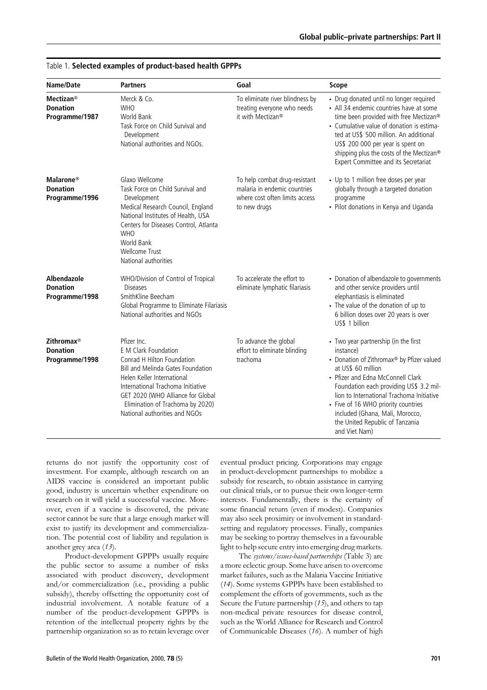| Name/Date                                                          | <b>Partners</b>                                                                                                                                                                                                                                                                            | Goal                                                                                                            | <b>Scope</b>                                                                                                                                                                                                                                                                                                                                                                    |
|--------------------------------------------------------------------|--------------------------------------------------------------------------------------------------------------------------------------------------------------------------------------------------------------------------------------------------------------------------------------------|-----------------------------------------------------------------------------------------------------------------|---------------------------------------------------------------------------------------------------------------------------------------------------------------------------------------------------------------------------------------------------------------------------------------------------------------------------------------------------------------------------------|
| <b>Mectizan®</b><br><b>Donation</b><br>Programme/1987              | Merck & Co.<br><b>WHO</b><br><b>World Bank</b><br>Task Force on Child Survival and<br>Development<br>National authorities and NGOs.                                                                                                                                                        | To eliminate river blindness by<br>treating everyone who needs<br>it with Mectizan <sup>®</sup>                 | • Drug donated until no longer required<br>• All 34 endemic countries have at some<br>time been provided with free Mectizan®<br>• Cumulative value of donation is estima-<br>ted at US\$ 500 million. An additional<br>US\$ 200 000 per year is spent on<br>shipping plus the costs of the Mectizan®<br>Expert Committee and its Secretariat                                    |
| <b>Malarone</b> ®<br><b>Donation</b><br>Programme/1996             | Glaxo Wellcome<br>Task Force on Child Survival and<br>Development<br>Medical Research Council, England<br>National Institutes of Health, USA<br>Centers for Diseases Control, Atlanta<br><b>WHO</b><br>World Bank<br><b>Wellcome Trust</b><br>National authorities                         | To help combat drug-resistant<br>malaria in endemic countries<br>where cost often limits access<br>to new drugs | • Up to 1 million free doses per year<br>globally through a targeted donation<br>programme<br>• Pilot donations in Kenya and Uganda                                                                                                                                                                                                                                             |
| Albendazole<br><b>Donation</b><br>Programme/1998                   | WHO/Division of Control of Tropical<br><b>Diseases</b><br>SmithKline Beecham<br>Global Programme to Eliminate Filariasis<br>National authorities and NGOs                                                                                                                                  | To accelerate the effort to<br>eliminate lymphatic filariasis                                                   | • Donation of albendazole to governments<br>and other service providers until<br>elephantiasis is eliminated<br>• The value of the donation of up to<br>6 billion doses over 20 years is over<br>US\$ 1 billion                                                                                                                                                                 |
| <b>Zithromax</b> <sup>®</sup><br><b>Donation</b><br>Programme/1998 | Pfizer Inc.<br>E M Clark Foundation<br>Conrad H Hilton Foundation<br><b>Bill and Melinda Gates Foundation</b><br>Helen Keller International<br>International Trachoma Initiative<br>GET 2020 (WHO Alliance for Global<br>Elimination of Trachoma by 2020)<br>National authorities and NGOs | To advance the global<br>effort to eliminate blinding<br>trachoma                                               | • Two year partnership (in the first<br>instance)<br>• Donation of Zithromax® by Pfizer valued<br>at US\$ 60 million<br>• Pfizer and Edna McConnell Clark<br>Foundation each providing US\$ 3.2 mil-<br>lion to International Trachoma Initiative<br>• Five of 16 WHO priority countries<br>included (Ghana, Mali, Morocco,<br>the United Republic of Tanzania<br>and Viet Nam) |

#### Table 1. Selected examples of product-based health GPPPs

returns do not justify the opportunity cost of investment. For example, although research on an AIDS vaccine is considered an important public good, industry is uncertain whether expenditure on research on it will yield a successful vaccine. Moreover, even if a vaccine is discovered, the private sector cannot be sure that a large enough market will exist to justify its development and commercialization. The potential cost of liability and regulation is another grey area  $(13)$ .

Product-development GPPPs usually require the public sector to assume a number of risks associated with product discovery, development and/or commercialization (i.e., providing a public subsidy), thereby offsetting the opportunity cost of industrial involvement. A notable feature of a number of the product-development GPPPs is retention of the intellectual property rights by the partnership organization so as to retain leverage over eventual product pricing. Corporations may engage in product-development partnerships to mobilize a subsidy for research, to obtain assistance in carrying out clinical trials, or to pursue their own longer-term interests. Fundamentally, there is the certainty of some financial return (even if modest). Companies may also seek proximity or involvement in standardsetting and regulatory processes. Finally, companies may be seeking to portray themselves in a favourable light to help secure entry into emerging drug markets.

The systems/issues-based partnerships (Table 3) are a more eclectic group. Some have arisen to overcome market failures, such as the Malaria Vaccine Initiative (14). Some systems GPPPs have been established to complement the efforts of governments, such as the Secure the Future partnership  $(15)$ , and others to tap non-medical private resources for disease control, such as the World Alliance for Research and Control of Communicable Diseases (16). A number of high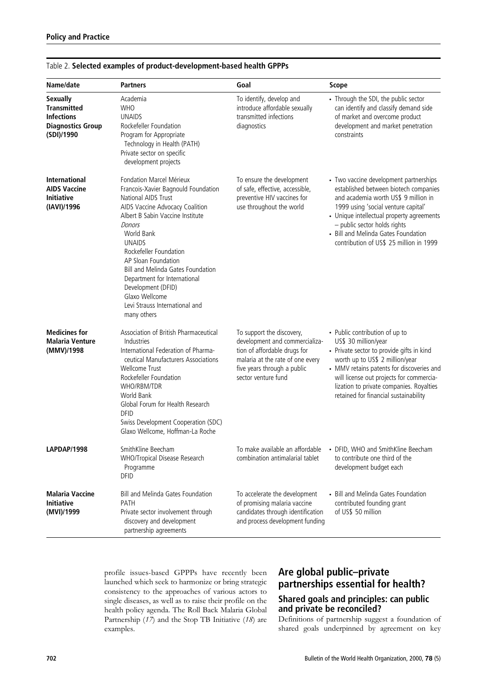| Name/date                                                                                            | <b>Partners</b>                                                                                                                                                                                                                                                                                                                                                                                                              | Goal                                                                                                                                                                                  | <b>Scope</b>                                                                                                                                                                                                                                                                                                                  |
|------------------------------------------------------------------------------------------------------|------------------------------------------------------------------------------------------------------------------------------------------------------------------------------------------------------------------------------------------------------------------------------------------------------------------------------------------------------------------------------------------------------------------------------|---------------------------------------------------------------------------------------------------------------------------------------------------------------------------------------|-------------------------------------------------------------------------------------------------------------------------------------------------------------------------------------------------------------------------------------------------------------------------------------------------------------------------------|
| <b>Sexually</b><br><b>Transmitted</b><br><b>Infections</b><br><b>Diagnostics Group</b><br>(SDI)/1990 | Academia<br><b>WHO</b><br><b>UNAIDS</b><br>Rockefeller Foundation<br>Program for Appropriate<br>Technology in Health (PATH)<br>Private sector on specific<br>development projects                                                                                                                                                                                                                                            | To identify, develop and<br>introduce affordable sexually<br>transmitted infections<br>diagnostics                                                                                    | • Through the SDI, the public sector<br>can identify and classify demand side<br>of market and overcome product<br>development and market penetration<br>constraints                                                                                                                                                          |
| <b>International</b><br><b>AIDS Vaccine</b><br><b>Initiative</b><br>(IAVI)/1996                      | Fondation Marcel Mérieux<br>Francois-Xavier Bagnould Foundation<br>National AIDS Trust<br>AIDS Vaccine Advocacy Coalition<br>Albert B Sabin Vaccine Institute<br>Donors<br>World Bank<br><b>UNAIDS</b><br>Rockefeller Foundation<br>AP Sloan Foundation<br><b>Bill and Melinda Gates Foundation</b><br>Department for International<br>Development (DFID)<br>Glaxo Wellcome<br>Levi Strauss International and<br>many others | To ensure the development<br>of safe, effective, accessible,<br>preventive HIV vaccines for<br>use throughout the world                                                               | • Two vaccine development partnerships<br>established between biotech companies<br>and academia worth US\$ 9 million in<br>1999 using 'social venture capital'<br>• Unique intellectual property agreements<br>- public sector holds rights<br>• Bill and Melinda Gates Foundation<br>contribution of US\$ 25 million in 1999 |
| <b>Medicines for</b><br>Malaria Venture<br>(MMV)/1998                                                | Association of British Pharmaceutical<br>Industries<br>International Federation of Pharma-<br>ceutical Manufacturers Associations<br>Wellcome Trust<br>Rockefeller Foundation<br>WHO/RBM/TDR<br>World Bank<br>Global Forum for Health Research<br><b>DFID</b><br>Swiss Development Cooperation (SDC)<br>Glaxo Wellcome, Hoffman-La Roche                                                                                     | To support the discovery,<br>development and commercializa-<br>tion of affordable drugs for<br>malaria at the rate of one every<br>five years through a public<br>sector venture fund | • Public contribution of up to<br>US\$ 30 million/year<br>• Private sector to provide gifts in kind<br>worth up to US\$ 2 million/year<br>• MMV retains patents for discoveries and<br>will license out projects for commercia-<br>lization to private companies. Royalties<br>retained for financial sustainability          |
| <b>LAPDAP/1998</b>                                                                                   | SmithKline Beecham<br>WHO/Tropical Disease Research<br>Programme<br><b>DFID</b>                                                                                                                                                                                                                                                                                                                                              | To make available an affordable<br>combination antimalarial tablet                                                                                                                    | • DFID, WHO and SmithKline Beecham<br>to contribute one third of the<br>development budget each                                                                                                                                                                                                                               |
| Malaria Vaccine<br>Initiative<br>(MVI)/1999                                                          | Bill and Melinda Gates Foundation<br>PATH<br>Private sector involvement through<br>discovery and development<br>partnership agreements                                                                                                                                                                                                                                                                                       | To accelerate the development<br>of promising malaria vaccine<br>candidates through identification<br>and process development funding                                                 | • Bill and Melinda Gates Foundation<br>contributed founding grant<br>of US\$ 50 million                                                                                                                                                                                                                                       |

## Table 2. Selected examples of product-development-based health GPPPs

profile issues-based GPPPs have recently been launched which seek to harmonize or bring strategic consistency to the approaches of various actors to single diseases, as well as to raise their profile on the health policy agenda. The Roll Back Malaria Global Partnership  $(17)$  and the Stop TB Initiative  $(18)$  are examples.

# Are global public-private partnerships essential for health? Shared goals and principles: can public and private be reconciled?

Definitions of partnership suggest a foundation of shared goals underpinned by agreement on key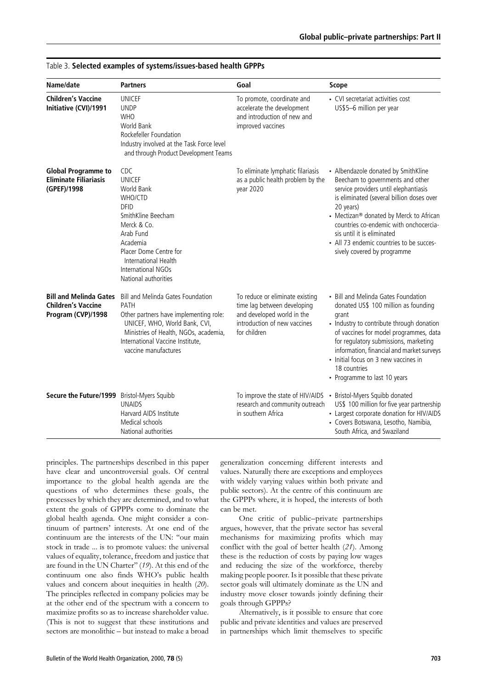| Name/date                                                                        | <b>Partners</b>                                                                                                                                                                                                                          | Goal                                                                                                                                         | <b>Scope</b>                                                                                                                                                                                                                                                                                                                                                             |
|----------------------------------------------------------------------------------|------------------------------------------------------------------------------------------------------------------------------------------------------------------------------------------------------------------------------------------|----------------------------------------------------------------------------------------------------------------------------------------------|--------------------------------------------------------------------------------------------------------------------------------------------------------------------------------------------------------------------------------------------------------------------------------------------------------------------------------------------------------------------------|
| <b>Children's Vaccine</b><br>Initiative (CVI)/1991                               | <b>UNICEF</b><br><b>UNDP</b><br><b>WHO</b><br><b>World Bank</b><br>Rockefeller Foundation<br>Industry involved at the Task Force level<br>and through Product Development Teams                                                          | To promote, coordinate and<br>accelerate the development<br>and introduction of new and<br>improved vaccines                                 | • CVI secretariat activities cost<br>US\$5-6 million per year                                                                                                                                                                                                                                                                                                            |
| <b>Global Programme to</b><br><b>Eliminate Filiariasis</b><br>(GPEF)/1998        | <b>CDC</b><br><b>UNICEF</b><br><b>World Bank</b><br>WHO/CTD<br><b>DFID</b><br>SmithKline Beecham<br>Merck & Co.<br>Arab Fund<br>Academia<br>Placer Dome Centre for<br>International Health<br>International NGOs<br>National authorities | To eliminate lymphatic filariasis<br>as a public health problem by the<br>year 2020                                                          | • Albendazole donated by SmithKline<br>Beecham to governments and other<br>service providers until elephantiasis<br>is eliminated (several billion doses over<br>20 years)<br>• Mectizan® donated by Merck to African<br>countries co-endemic with onchocercia-<br>sis until it is eliminated<br>• All 73 endemic countries to be succes-<br>sively covered by programme |
| <b>Bill and Melinda Gates</b><br><b>Children's Vaccine</b><br>Program (CVP)/1998 | Bill and Melinda Gates Foundation<br>PATH<br>Other partners have implementing role:<br>UNICEF, WHO, World Bank, CVI,<br>Ministries of Health, NGOs, academia,<br>International Vaccine Institute,<br>vaccine manufactures                | To reduce or eliminate existing<br>time lag between developing<br>and developed world in the<br>introduction of new vaccines<br>for children | • Bill and Melinda Gates Foundation<br>donated US\$ 100 million as founding<br>grant<br>• Industry to contribute through donation<br>of vaccines for model programmes, data<br>for regulatory submissions, marketing<br>information, financial and market surveys<br>• Initial focus on 3 new vaccines in<br>18 countries<br>• Programme to last 10 years                |
| Secure the Future/1999 Bristol-Myers Squibb                                      | <b>UNAIDS</b><br>Harvard AIDS Institute<br>Medical schools<br>National authorities                                                                                                                                                       | To improve the state of HIV/AIDS • Bristol-Myers Squibb donated<br>research and community outreach<br>in southern Africa                     | US\$ 100 million for five year partnership<br>• Largest corporate donation for HIV/AIDS<br>· Covers Botswana, Lesotho, Namibia,<br>South Africa, and Swaziland                                                                                                                                                                                                           |

| Table 3. Selected examples of systems/issues-based health GPPPs |  |  |  |
|-----------------------------------------------------------------|--|--|--|
|-----------------------------------------------------------------|--|--|--|

principles. The partnerships described in this paper have clear and uncontroversial goals. Of central importance to the global health agenda are the questions of who determines these goals, the processes by which they are determined, and to what extent the goals of GPPPs come to dominate the global health agenda. One might consider a continuum of partners' interests. At one end of the continuum are the interests of the UN: "our main stock in trade ... is to promote values: the universal values of equality, tolerance, freedom and justice that are found in the UN Charter" (19). At this end of the continuum one also finds WHO's public health values and concern about inequities in health  $(20)$ . The principles reflected in company policies may be at the other end of the spectrum with a concern to maximize profits so as to increase shareholder value. (This is not to suggest that these institutions and sectors are monolithic - but instead to make a broad

generalization concerning different interests and values. Naturally there are exceptions and employees with widely varying values within both private and public sectors). At the centre of this continuum are the GPPPs where, it is hoped, the interests of both can be met.

One critic of public-private partnerships argues, however, that the private sector has several mechanisms for maximizing profits which may conflict with the goal of better health (21). Among these is the reduction of costs by paying low wages and reducing the size of the workforce, thereby making people poorer. Is it possible that these private sector goals will ultimately dominate as the UN and industry move closer towards jointly defining their goals through GPPPs?

Alternatively, is it possible to ensure that core public and private identities and values are preserved in partnerships which limit themselves to specific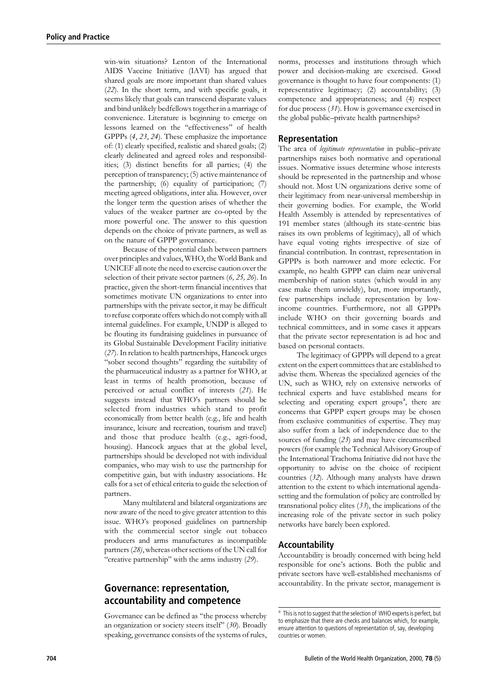win-win situations? Lenton of the International AIDS Vaccine Initiative (IAVI) has argued that shared goals are more important than shared values  $(22)$ . In the short term, and with specific goals, it seems likely that goals can transcend disparate values and bind unlikely bedfellows together in a marriage of convenience. Literature is beginning to emerge on lessons learned on the "effectiveness" of health GPPPs  $(4, 23, 24)$ . These emphasize the importance of: (1) clearly specified, realistic and shared goals; (2) clearly delineated and agreed roles and responsibilities; (3) distinct benefits for all parties; (4) the perception of transparency; (5) active maintenance of the partnership; (6) equality of participation; (7) meeting agreed obligations, inter alia. However, over the longer term the question arises of whether the values of the weaker partner are co-opted by the more powerful one. The answer to this question depends on the choice of private partners, as well as on the nature of GPPP governance.

Because of the potential clash between partners over principles and values, WHO, the World Bank and UNICEF all note the need to exercise caution over the selection of their private sector partners  $(6, 25, 26)$ . In practice, given the short-term financial incentives that sometimes motivate UN organizations to enter into partnerships with the private sector, it may be difficult to refuse corporate offers which do not comply with all internal guidelines. For example, UNDP is alleged to be flouting its fundraising guidelines in pursuance of its Global Sustainable Development Facility initiative (27). In relation to health partnerships, Hancock urges "sober second thoughts" regarding the suitability of the pharmaceutical industry as a partner for WHO, at least in terms of health promotion, because of perceived or actual conflict of interests (21). He suggests instead that WHO's partners should be selected from industries which stand to profit economically from better health (e.g., life and health insurance, leisure and recreation, tourism and travel) and those that produce health (e.g., agri-food, housing). Hancock argues that at the global level, partnerships should be developed not with individual companies, who may wish to use the partnership for competitive gain, but with industry associations. He calls for a set of ethical criteria to guide the selection of partners.

Many multilateral and bilateral organizations are now aware of the need to give greater attention to this issue. WHO's proposed guidelines on partnership with the commercial sector single out tobacco producers and arms manufactures as incompatible partners (28), whereas other sections of the UN call for "creative partnership" with the arms industry  $(29)$ .

## **Governance: representation,** accountability and competence

Governance can be defined as "the process whereby an organization or society steers itself" (30). Broadly speaking, governance consists of the systems of rules, norms, processes and institutions through which power and decision-making are exercised. Good governance is thought to have four components: (1) representative legitimacy; (2) accountability; (3) competence and appropriateness; and (4) respect for due process  $(31)$ . How is governance exercised in the global public-private health partnerships?

#### **Representation**

The area of *legitimate representation* in public-private partnerships raises both normative and operational issues. Normative issues determine whose interests should be represented in the partnership and whose should not. Most UN organizations derive some of their legitimacy from near-universal membership in their governing bodies. For example, the World Health Assembly is attended by representatives of 191 member states (although its state-centric bias raises its own problems of legitimacy), all of which have equal voting rights irrespective of size of financial contribution. In contrast, representation in GPPPs is both narrower and more eclectic. For example, no health GPPP can claim near universal membership of nation states (which would in any case make them unwieldy), but, more importantly, few partnerships include representation by lowincome countries. Furthermore, not all GPPPs include WHO on their governing boards and technical committees, and in some cases it appears that the private sector representation is ad hoc and based on personal contacts.

The legitimacy of GPPPs will depend to a great extent on the expert committees that are established to advise them. Whereas the specialized agencies of the UN, such as WHO, rely on extensive networks of technical experts and have established means for selecting and operating expert groups<sup>a</sup>, there are concerns that GPPP expert groups may be chosen from exclusive communities of expertise. They may also suffer from a lack of independence due to the sources of funding  $(23)$  and may have circumscribed powers (for example the Technical Advisory Group of the International Trachoma Initiative did not have the opportunity to advise on the choice of recipient countries (32). Although many analysts have drawn attention to the extent to which international agendasetting and the formulation of policy are controlled by transnational policy elites  $(33)$ , the implications of the increasing role of the private sector in such policy networks have barely been explored.

#### Accountability

Accountability is broadly concerned with being held responsible for one's actions. Both the public and private sectors have well-established mechanisms of accountability. In the private sector, management is

<sup>&</sup>lt;sup>a</sup> This is not to suggest that the selection of WHO experts is perfect, but to emphasize that there are checks and balances which, for example, ensure attention to questions of representation of, say, developing countries or women.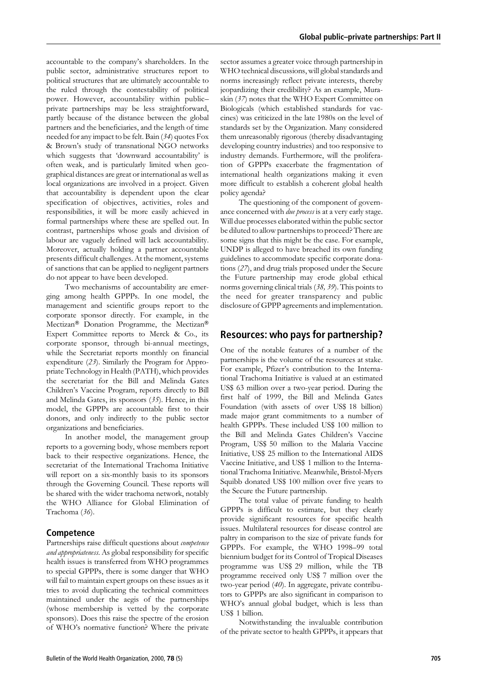accountable to the company's shareholders. In the public sector, administrative structures report to political structures that are ultimately accountable to the ruled through the contestability of political power. However, accountability within publicprivate partnerships may be less straightforward, partly because of the distance between the global partners and the beneficiaries, and the length of time needed for any impact to be felt. Bain (34) quotes Fox & Brown's study of transnational NGO networks which suggests that 'downward accountability' is often weak, and is particularly limited when geographical distances are great or international as well as local organizations are involved in a project. Given that accountability is dependent upon the clear specification of objectives, activities, roles and responsibilities, it will be more easily achieved in formal partnerships where these are spelled out. In contrast, partnerships whose goals and division of labour are vaguely defined will lack accountability. Moreover, actually holding a partner accountable presents difficult challenges. At the moment, systems of sanctions that can be applied to negligent partners do not appear to have been developed.

Two mechanisms of accountability are emerging among health GPPPs. In one model, the management and scientific groups report to the corporate sponsor directly. For example, in the Mectizan® Donation Programme, the Mectizan® Expert Committee reports to Merck & Co., its corporate sponsor, through bi-annual meetings, while the Secretariat reports monthly on financial expenditure  $(23)$ . Similarly the Program for Appropriate Technology in Health (PATH), which provides the secretariat for the Bill and Melinda Gates Children's Vaccine Program, reports directly to Bill and Melinda Gates, its sponsors  $(35)$ . Hence, in this model, the GPPPs are accountable first to their donors, and only indirectly to the public sector organizations and beneficiaries.

In another model, the management group reports to a governing body, whose members report back to their respective organizations. Hence, the secretariat of the International Trachoma Initiative will report on a six-monthly basis to its sponsors through the Governing Council. These reports will be shared with the wider trachoma network, notably the WHO Alliance for Global Elimination of Trachoma (36).

#### Competence

Partnerships raise difficult questions about competence and appropriateness. As global responsibility for specific health issues is transferred from WHO programmes to special GPPPs, there is some danger that WHO will fail to maintain expert groups on these issues as it tries to avoid duplicating the technical committees maintained under the aegis of the partnerships (whose membership is vetted by the corporate sponsors). Does this raise the spectre of the erosion of WHO's normative function? Where the private

sector assumes a greater voice through partnership in WHO technical discussions, will global standards and norms increasingly reflect private interests, thereby jeopardizing their credibility? As an example, Muraskin (37) notes that the WHO Expert Committee on Biologicals (which established standards for vaccines) was criticized in the late 1980s on the level of standards set by the Organization. Many considered them unreasonably rigorous (thereby disadvantaging developing country industries) and too responsive to industry demands. Furthermore, will the proliferation of GPPPs exacerbate the fragmentation of international health organizations making it even more difficult to establish a coherent global health policy agenda?

The questioning of the component of governance concerned with *due process* is at a very early stage. Will due processes elaborated within the public sector be diluted to allow partnerships to proceed? There are some signs that this might be the case. For example, UNDP is alleged to have breached its own funding guidelines to accommodate specific corporate donations (27), and drug trials proposed under the Secure the Future partnership may erode global ethical norms governing clinical trials (38, 39). This points to the need for greater transparency and public disclosure of GPPP agreements and implementation.

## **Resources: who pays for partnership?**

One of the notable features of a number of the partnerships is the volume of the resources at stake. For example, Pfizer's contribution to the International Trachoma Initiative is valued at an estimated US\$ 63 million over a two-year period. During the first half of 1999, the Bill and Melinda Gates Foundation (with assets of over US\$ 18 billion) made major grant commitments to a number of health GPPPs. These included US\$ 100 million to the Bill and Melinda Gates Children's Vaccine Program, US\$ 50 million to the Malaria Vaccine Initiative, US\$ 25 million to the International AIDS Vaccine Initiative, and US\$ 1 million to the International Trachoma Initiative. Meanwhile, Bristol-Myers Squibb donated US\$ 100 million over five years to the Secure the Future partnership.

The total value of private funding to health GPPPs is difficult to estimate, but they clearly provide significant resources for specific health issues. Multilateral resources for disease control are paltry in comparison to the size of private funds for GPPPs. For example, the WHO 1998-99 total biennium budget for its Control of Tropical Diseases programme was US\$ 29 million, while the TB programme received only US\$ 7 million over the two-year period (40). In aggregate, private contributors to GPPPs are also significant in comparison to WHO's annual global budget, which is less than US\$ 1 billion.

Notwithstanding the invaluable contribution of the private sector to health GPPPs, it appears that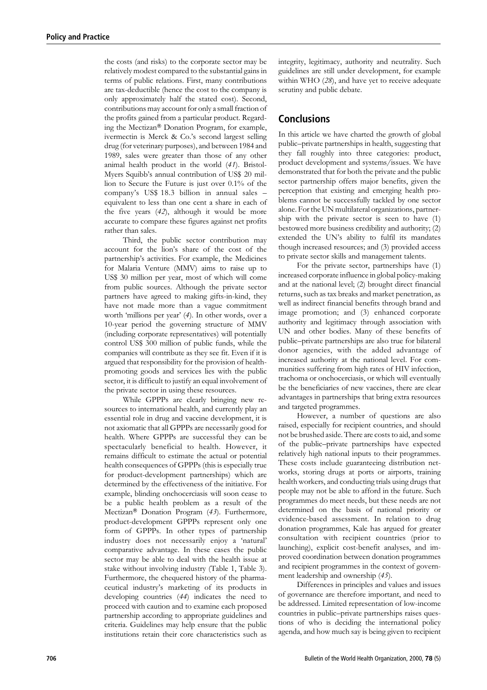the costs (and risks) to the corporate sector may be relatively modest compared to the substantial gains in terms of public relations. First, many contributions are tax-deductible (hence the cost to the company is only approximately half the stated cost). Second, contributions may account for only a small fraction of the profits gained from a particular product. Regarding the Mectizan® Donation Program, for example, ivermectin is Merck & Co.'s second largest selling drug (for veterinary purposes), and between 1984 and 1989, sales were greater than those of any other animal health product in the world (41). Bristol-Myers Squibb's annual contribution of US\$ 20 million to Secure the Future is just over 0.1% of the company's US\$ 18.3 billion in annual sales equivalent to less than one cent a share in each of the five years  $(42)$ , although it would be more accurate to compare these figures against net profits rather than sales.

Third, the public sector contribution may account for the lion's share of the cost of the partnership's activities. For example, the Medicines for Malaria Venture (MMV) aims to raise up to US\$ 30 million per year, most of which will come from public sources. Although the private sector partners have agreed to making gifts-in-kind, they have not made more than a vague commitment worth 'millions per year' (4). In other words, over a 10-year period the governing structure of MMV (including corporate representatives) will potentially control US\$ 300 million of public funds, while the companies will contribute as they see fit. Even if it is argued that responsibility for the provision of healthpromoting goods and services lies with the public sector, it is difficult to justify an equal involvement of the private sector in using these resources.

While GPPPs are clearly bringing new resources to international health, and currently play an essential role in drug and vaccine development, it is not axiomatic that all GPPPs are necessarily good for health. Where GPPPs are successful they can be spectacularly beneficial to health. However, it remains difficult to estimate the actual or potential health consequences of GPPPs (this is especially true for product-development partnerships) which are determined by the effectiveness of the initiative. For example, blinding onchocerciasis will soon cease to be a public health problem as a result of the Mectizan<sup>®</sup> Donation Program (43). Furthermore, product-development GPPPs represent only one form of GPPPs. In other types of partnership industry does not necessarily enjoy a 'natural' comparative advantage. In these cases the public sector may be able to deal with the health issue at stake without involving industry (Table 1, Table 3). Furthermore, the chequered history of the pharmaceutical industry's marketing of its products in developing countries (44) indicates the need to proceed with caution and to examine each proposed partnership according to appropriate guidelines and criteria. Guidelines may help ensure that the public institutions retain their core characteristics such as

integrity, legitimacy, authority and neutrality. Such guidelines are still under development, for example within WHO (28), and have yet to receive adequate scrutiny and public debate.

# **Conclusions**

In this article we have charted the growth of global public-private partnerships in health, suggesting that they fall roughly into three categories: product, product development and systems/issues. We have demonstrated that for both the private and the public sector partnership offers major benefits, given the perception that existing and emerging health problems cannot be successfully tackled by one sector alone. For the UN multilateral organizations, partnership with the private sector is seen to have (1) bestowed more business credibility and authority; (2) extended the UN's ability to fulfil its mandates though increased resources; and (3) provided access to private sector skills and management talents.

For the private sector, partnerships have (1) increased corporate influence in global policy-making and at the national level; (2) brought direct financial returns, such as tax breaks and market penetration, as well as indirect financial benefits through brand and image promotion; and (3) enhanced corporate authority and legitimacy through association with UN and other bodies. Many of these benefits of public-private partnerships are also true for bilateral donor agencies, with the added advantage of increased authority at the national level. For communities suffering from high rates of HIV infection, trachoma or onchocerciasis, or which will eventually be the beneficiaries of new vaccines, there are clear advantages in partnerships that bring extra resources and targeted programmes.

However, a number of questions are also raised, especially for recipient countries, and should not be brushed aside. There are costs to aid, and some of the public-private partnerships have expected relatively high national inputs to their programmes. These costs include guaranteeing distribution networks, storing drugs at ports or airports, training health workers, and conducting trials using drugs that people may not be able to afford in the future. Such programmes do meet needs, but these needs are not determined on the basis of national priority or evidence-based assessment. In relation to drug donation programmes, Kale has argued for greater consultation with recipient countries (prior to launching), explicit cost-benefit analyses, and improved coordination between donation programmes and recipient programmes in the context of government leadership and ownership (45).

Differences in principles and values and issues of governance are therefore important, and need to be addressed. Limited representation of low-income countries in public-private partnerships raises questions of who is deciding the international policy agenda, and how much say is being given to recipient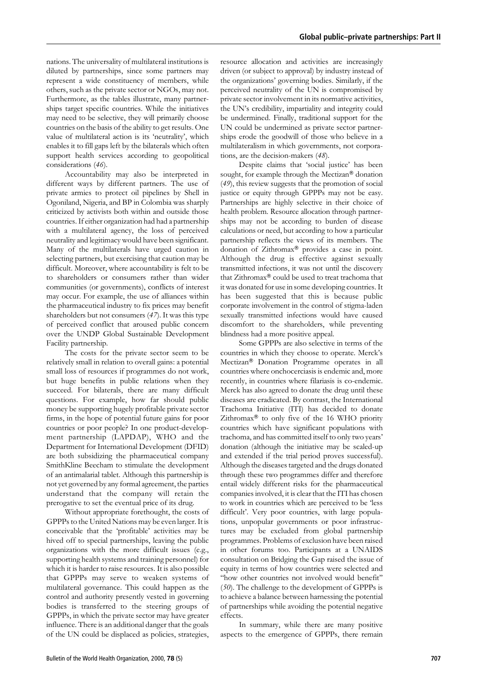nations. The universality of multilateral institutions is diluted by partnerships, since some partners may represent a wide constituency of members, while others, such as the private sector or NGOs, may not. Furthermore, as the tables illustrate, many partnerships target specific countries. While the initiatives may need to be selective, they will primarily choose countries on the basis of the ability to get results. One value of multilateral action is its 'neutrality', which enables it to fill gaps left by the bilaterals which often support health services according to geopolitical considerations (46).

Accountability may also be interpreted in different ways by different partners. The use of private armies to protect oil pipelines by Shell in Ogoniland, Nigeria, and BP in Colombia was sharply criticized by activists both within and outside those countries. If either organization had had a partnership with a multilateral agency, the loss of perceived neutrality and legitimacy would have been significant. Many of the multilaterals have urged caution in selecting partners, but exercising that caution may be difficult. Moreover, where accountability is felt to be to shareholders or consumers rather than wider communities (or governments), conflicts of interest may occur. For example, the use of alliances within the pharmaceutical industry to fix prices may benefit shareholders but not consumers  $(47)$ . It was this type of perceived conflict that aroused public concern over the UNDP Global Sustainable Development Facility partnership.

The costs for the private sector seem to be relatively small in relation to overall gains: a potential small loss of resources if programmes do not work, but huge benefits in public relations when they succeed. For bilaterals, there are many difficult questions. For example, how far should public money be supporting hugely profitable private sector firms, in the hope of potential future gains for poor countries or poor people? In one product-development partnership (LAPDAP), WHO and the Department for International Development (DFID) are both subsidizing the pharmaceutical company SmithKline Beecham to stimulate the development of an antimalarial tablet. Although this partnership is not yet governed by any formal agreement, the parties understand that the company will retain the prerogative to set the eventual price of its drug.

Without appropriate forethought, the costs of GPPPs to the United Nations may be even larger. It is conceivable that the 'profitable' activities may be hived off to special partnerships, leaving the public organizations with the more difficult issues (e.g., supporting health systems and training personnel) for which it is harder to raise resources. It is also possible that GPPPs may serve to weaken systems of multilateral governance. This could happen as the control and authority presently vested in governing bodies is transferred to the steering groups of GPPPs, in which the private sector may have greater influence. There is an additional danger that the goals of the UN could be displaced as policies, strategies,

resource allocation and activities are increasingly driven (or subject to approval) by industry instead of the organizations' governing bodies. Similarly, if the perceived neutrality of the UN is compromised by private sector involvement in its normative activities, the UN's credibility, impartiality and integrity could be undermined. Finally, traditional support for the UN could be undermined as private sector partnerships erode the goodwill of those who believe in a multilateralism in which governments, not corporations, are the decision-makers (48).

Despite claims that 'social justice' has been sought, for example through the Mectizan® donation  $(49)$ , this review suggests that the promotion of social justice or equity through GPPPs may not be easy. Partnerships are highly selective in their choice of health problem. Resource allocation through partnerships may not be according to burden of disease calculations or need, but according to how a particular partnership reflects the views of its members. The donation of Zithromax® provides a case in point. Although the drug is effective against sexually transmitted infections, it was not until the discovery that Zithromax® could be used to treat trachoma that it was donated for use in some developing countries. It has been suggested that this is because public corporate involvement in the control of stigma-laden sexually transmitted infections would have caused discomfort to the shareholders, while preventing blindness had a more positive appeal.

Some GPPPs are also selective in terms of the countries in which they choose to operate. Merck's Mectizan® Donation Programme operates in all countries where onchocerciasis is endemic and, more recently, in countries where filariasis is co-endemic. Merck has also agreed to donate the drug until these diseases are eradicated. By contrast, the International Trachoma Initiative (ITI) has decided to donate Zithromax<sup>®</sup> to only five of the 16 WHO priority countries which have significant populations with trachoma, and has committed itself to only two years' donation (although the initiative may be scaled-up and extended if the trial period proves successful). Although the diseases targeted and the drugs donated through these two programmes differ and therefore entail widely different risks for the pharmaceutical companies involved, it is clear that the ITI has chosen to work in countries which are perceived to be 'less difficult'. Very poor countries, with large populations, unpopular governments or poor infrastructures may be excluded from global partnership programmes. Problems of exclusion have been raised in other forums too. Participants at a UNAIDS consultation on Bridging the Gap raised the issue of equity in terms of how countries were selected and "how other countries not involved would benefit" (50). The challenge to the development of GPPPs is to achieve a balance between harnessing the potential of partnerships while avoiding the potential negative effects.

In summary, while there are many positive aspects to the emergence of GPPPs, there remain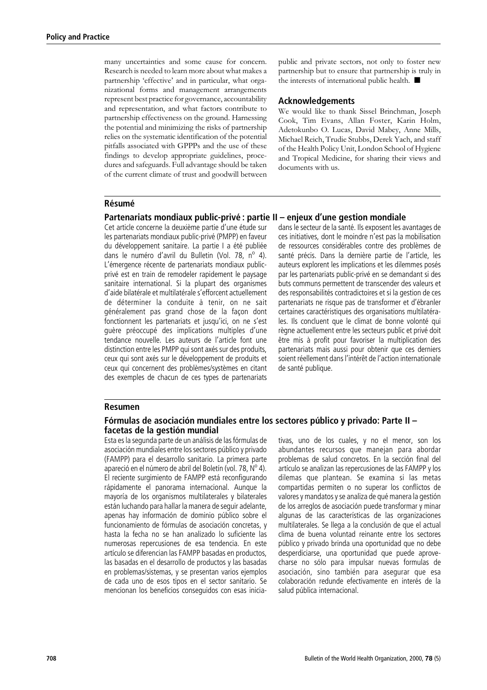many uncertainties and some cause for concern. Research is needed to learn more about what makes a partnership 'effective' and in particular, what organizational forms and management arrangements represent best practice for governance, accountability and representation, and what factors contribute to partnership effectiveness on the ground. Harnessing the potential and minimizing the risks of partnership relies on the systematic identification of the potential pitfalls associated with GPPPs and the use of these findings to develop appropriate guidelines, procedures and safeguards. Full advantage should be taken of the current climate of trust and goodwill between

public and private sectors, not only to foster new partnership but to ensure that partnership is truly in the interests of international public health.

## **Acknowledgements**

We would like to thank Sissel Brinchman, Joseph Cook, Tim Evans, Allan Foster, Karin Holm, Adetokunbo O. Lucas, David Mabey, Anne Mills, Michael Reich, Trudie Stubbs, Derek Yach, and staff of the Health Policy Unit, London School of Hygiene and Tropical Medicine, for sharing their views and documents with us.

### Résumé

#### Partenariats mondiaux public-privé : partie II – enjeux d'une gestion mondiale

Cet article concerne la deuxième partie d'une étude sur les partenariats mondiaux public-privé (PMPP) en faveur du développement sanitaire. La partie I a été publiée dans le numéro d'avril du Bulletin (Vol. 78, nº 4). L'émergence récente de partenariats mondiaux publicprivé est en train de remodeler rapidement le paysage sanitaire international. Si la plupart des organismes d'aide bilatérale et multilatérale s'efforcent actuellement de déterminer la conduite à tenir, on ne sait généralement pas grand chose de la façon dont fonctionnent les partenariats et jusqu'ici, on ne s'est quère préoccupé des implications multiples d'une tendance nouvelle. Les auteurs de l'article font une distinction entre les PMPP qui sont axés sur des produits, ceux qui sont axés sur le développement de produits et ceux qui concernent des problèmes/systèmes en citant des exemples de chacun de ces types de partenariats

dans le secteur de la santé. Ils exposent les avantages de ces initiatives, dont le moindre n'est pas la mobilisation de ressources considérables contre des problèmes de santé précis. Dans la dernière partie de l'article, les auteurs explorent les implications et les dilemmes posés par les partenariats public-privé en se demandant si des buts communs permettent de transcender des valeurs et des responsabilités contradictoires et si la gestion de ces partenariats ne risque pas de transformer et d'ébranler certaines caractéristiques des organisations multilatérales. Ils concluent que le climat de bonne volonté qui règne actuellement entre les secteurs public et privé doit être mis à profit pour favoriser la multiplication des partenariats mais aussi pour obtenir que ces derniers soient réellement dans l'intérêt de l'action internationale de santé publique.

#### **Resumen**

#### Fórmulas de asociación mundiales entre los sectores público y privado: Parte II – facetas de la gestión mundial

Esta es la segunda parte de un análisis de las fórmulas de asociación mundiales entre los sectores público y privado (FAMPP) para el desarrollo sanitario. La primera parte apareció en el número de abril del Boletín (vol. 78,  $N^{\circ}$  4). El reciente surgimiento de FAMPP está reconfigurando rápidamente el panorama internacional. Aunque la mayoría de los organismos multilaterales y bilaterales están luchando para hallar la manera de seguir adelante, apenas hay información de dominio público sobre el funcionamiento de fórmulas de asociación concretas, y hasta la fecha no se han analizado lo suficiente las numerosas repercusiones de esa tendencia. En este artículo se diferencian las FAMPP basadas en productos, las basadas en el desarrollo de productos y las basadas en problemas/sistemas, y se presentan varios ejemplos de cada uno de esos tipos en el sector sanitario. Se mencionan los beneficios conseguidos con esas iniciativas, uno de los cuales, y no el menor, son los abundantes recursos que manejan para abordar problemas de salud concretos. En la sección final del artículo se analizan las repercusiones de las FAMPP y los dilemas que plantean. Se examina si las metas compartidas permiten o no superar los conflictos de valores y mandatos y se analiza de qué manera la gestión de los arreglos de asociación puede transformar y minar algunas de las características de las organizaciones multilaterales. Se llega a la conclusión de que el actual clima de buena voluntad reinante entre los sectores público y privado brinda una oportunidad que no debe desperdiciarse, una oportunidad que puede aprovecharse no sólo para impulsar nuevas formulas de asociación, sino también para asegurar que esa colaboración redunde efectivamente en interés de la salud pública internacional.